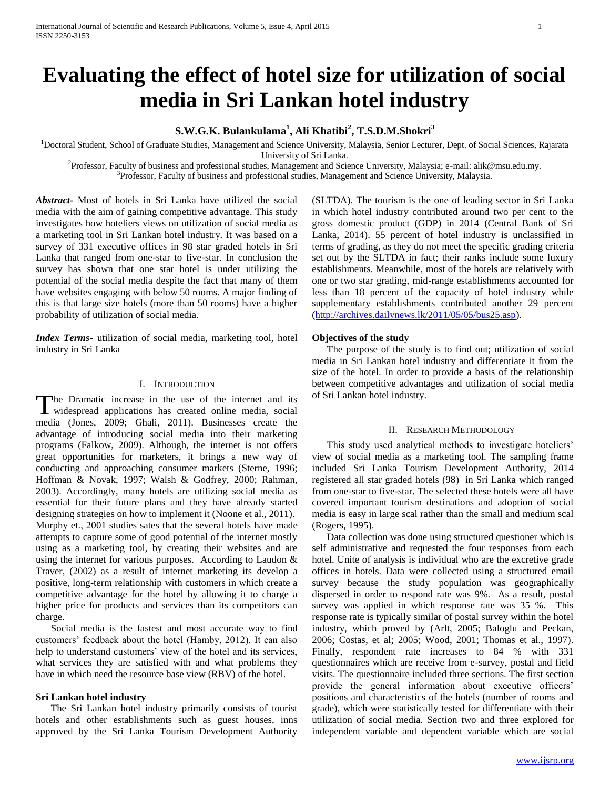# **Evaluating the effect of hotel size for utilization of social media in Sri Lankan hotel industry**

# **S.W.G.K. Bulankulama<sup>1</sup> , Ali Khatibi<sup>2</sup> , T.S.D.M.Shokri<sup>3</sup>**

<sup>1</sup>Doctoral Student, School of Graduate Studies, Management and Science University, Malaysia, Senior Lecturer, Dept. of Social Sciences, Rajarata University of Sri Lanka.

2 Professor, Faculty of business and professional studies, Management and Science University, Malaysia; e-mail: alik@msu.edu.my. <sup>3</sup>Professor, Faculty of business and professional studies, Management and Science University, Malaysia.

*Abstract***-** Most of hotels in Sri Lanka have utilized the social media with the aim of gaining competitive advantage. This study investigates how hoteliers views on utilization of social media as a marketing tool in Sri Lankan hotel industry. It was based on a survey of 331 executive offices in 98 star graded hotels in Sri Lanka that ranged from one-star to five-star. In conclusion the survey has shown that one star hotel is under utilizing the potential of the social media despite the fact that many of them have websites engaging with below 50 rooms. A major finding of this is that large size hotels (more than 50 rooms) have a higher probability of utilization of social media.

*Index Terms*- utilization of social media, marketing tool, hotel industry in Sri Lanka

## I. INTRODUCTION

he Dramatic increase in the use of the internet and its The Dramatic increase in the use of the internet and its widespread applications has created online media, social media (Jones, 2009; Ghali, 2011). Businesses create the advantage of introducing social media into their marketing programs (Falkow, 2009). Although, the internet is not offers great opportunities for marketers, it brings a new way of conducting and approaching consumer markets (Sterne, 1996; Hoffman & Novak, 1997; Walsh & Godfrey, 2000; Rahman, 2003). Accordingly, many hotels are utilizing social media as essential for their future plans and they have already started designing strategies on how to implement it (Noone et al., 2011). Murphy et., 2001 studies sates that the several hotels have made attempts to capture some of good potential of the internet mostly using as a marketing tool, by creating their websites and are using the internet for various purposes. According to Laudon & Traver, (2002) as a result of internet marketing its develop a positive, long-term relationship with customers in which create a competitive advantage for the hotel by allowing it to charge a higher price for products and services than its competitors can charge.

 Social media is the fastest and most accurate way to find customers' feedback about the hotel (Hamby, 2012). It can also help to understand customers' view of the hotel and its services, what services they are satisfied with and what problems they have in which need the resource base view (RBV) of the hotel.

## **Sri Lankan hotel industry**

 The Sri Lankan hotel industry primarily consists of tourist hotels and other establishments such as guest houses, inns approved by the Sri Lanka Tourism Development Authority (SLTDA). The tourism is the one of leading sector in Sri Lanka in which hotel industry contributed around two per cent to the gross domestic product (GDP) in 2014 (Central Bank of Sri Lanka, 2014). 55 percent of hotel industry is unclassified in terms of grading, as they do not meet the specific grading criteria set out by the SLTDA in fact; their ranks include some luxury establishments. Meanwhile, most of the hotels are relatively with one or two star grading, mid-range establishments accounted for less than 18 percent of the capacity of hotel industry while supplementary establishments contributed another 29 percent [\(http://archives.dailynews.lk/2011/05/05/bus25.asp\)](http://archives.dailynews.lk/2011/05/05/bus25.asp).

## **Objectives of the study**

 The purpose of the study is to find out; utilization of social media in Sri Lankan hotel industry and differentiate it from the size of the hotel. In order to provide a basis of the relationship between competitive advantages and utilization of social media of Sri Lankan hotel industry.

#### II. RESEARCH METHODOLOGY

 This study used analytical methods to investigate hoteliers' view of social media as a marketing tool. The sampling frame included Sri Lanka Tourism Development Authority, 2014 registered all star graded hotels (98) in Sri Lanka which ranged from one-star to five-star. The selected these hotels were all have covered important tourism destinations and adoption of social media is easy in large scal rather than the small and medium scal (Rogers, 1995).

 Data collection was done using structured questioner which is self administrative and requested the four responses from each hotel. Unite of analysis is individual who are the excretive grade offices in hotels. Data were collected using a structured email survey because the study population was geographically dispersed in order to respond rate was 9%. As a result, postal survey was applied in which response rate was 35 %. This response rate is typically similar of postal survey within the hotel industry, which proved by (Arlt, 2005; Baloglu and Peckan, 2006; Costas, et al; 2005; Wood, 2001; Thomas et al., 1997). Finally, respondent rate increases to 84 % with 331 questionnaires which are receive from e-survey, postal and field visits. The questionnaire included three sections. The first section provide the general information about executive officers' positions and characteristics of the hotels (number of rooms and grade), which were statistically tested for differentiate with their utilization of social media. Section two and three explored for independent variable and dependent variable which are social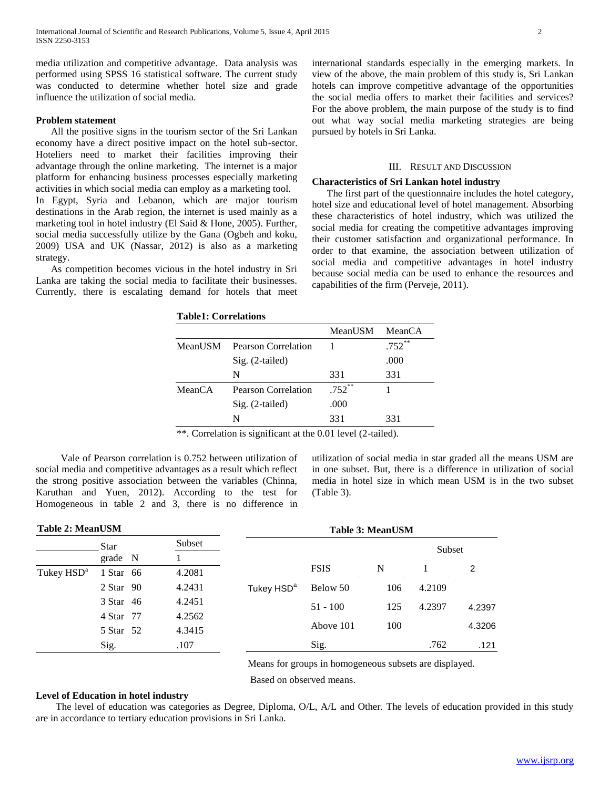media utilization and competitive advantage. Data analysis was performed using SPSS 16 statistical software. The current study was conducted to determine whether hotel size and grade influence the utilization of social media.

## **Problem statement**

 All the positive signs in the tourism sector of the Sri Lankan economy have a direct positive impact on the hotel sub-sector. Hoteliers need to market their facilities improving their advantage through the online marketing. The internet is a major platform for enhancing business processes especially marketing activities in which social media can employ as a marketing tool.

In Egypt, Syria and Lebanon, which are major tourism destinations in the Arab region, the internet is used mainly as a marketing tool in hotel industry (El Said & Hone, 2005). Further, social media successfully utilize by the Gana (Ogbeh and koku, 2009) USA and UK (Nassar, 2012) is also as a marketing strategy.

 As competition becomes vicious in the hotel industry in Sri Lanka are taking the social media to facilitate their businesses. Currently, there is escalating demand for hotels that meet international standards especially in the emerging markets. In view of the above, the main problem of this study is, Sri Lankan hotels can improve competitive advantage of the opportunities the social media offers to market their facilities and services? For the above problem, the main purpose of the study is to find out what way social media marketing strategies are being pursued by hotels in Sri Lanka.

## III. RESULT AND DISCUSSION

#### **Characteristics of Sri Lankan hotel industry**

 The first part of the questionnaire includes the hotel category, hotel size and educational level of hotel management. Absorbing these characteristics of hotel industry, which was utilized the social media for creating the competitive advantages improving their customer satisfaction and organizational performance. In order to that examine, the association between utilization of social media and competitive advantages in hotel industry because social media can be used to enhance the resources and capabilities of the firm (Perveje, 2011).

| MeanUSM Pearson Correlation |
|-----------------------------|

**Table1: Correlations**

|         |                     | MeanUSM   | MeanCA     |
|---------|---------------------|-----------|------------|
| MeanUSM | Pearson Correlation |           | $.752$ $*$ |
|         | $Sig. (2-tailed)$   |           | .000       |
|         | N                   | 331       | 331        |
| MeanCA  | Pearson Correlation | $.752$ ** |            |
|         | $Sig. (2-tailed)$   | .000      |            |
|         | N                   | 331       | 331        |
|         |                     |           |            |

\*\*. Correlation is significant at the 0.01 level (2-tailed).

 Vale of Pearson correlation is 0.752 between utilization of social media and competitive advantages as a result which reflect the strong positive association between the variables (Chinna, Karuthan and Yuen, 2012). According to the test for Homogeneous in table 2 and 3, there is no difference in utilization of social media in star graded all the means USM are in one subset. But, there is a difference in utilization of social media in hotel size in which mean USM is in the two subset (Table 3).

| <b>Table 2: MeanUSM</b> |               |        | <b>Table 3: MeanUSM</b> |             |     |        |               |  |
|-------------------------|---------------|--------|-------------------------|-------------|-----|--------|---------------|--|
|                         | <b>Star</b>   | Subset |                         |             |     | Subset |               |  |
|                         | grade N       |        |                         |             |     |        |               |  |
| Tukey HSD <sup>a</sup>  | 1 Star 66     | 4.2081 |                         | <b>FSIS</b> | N   |        | $\mathcal{P}$ |  |
|                         | $2$ Star $90$ | 4.2431 | Tukey HSD <sup>a</sup>  | Below 50    | 106 | 4.2109 |               |  |
|                         | 3 Star 46     | 4.2451 |                         | $51 - 100$  | 125 | 4.2397 | 4.2397        |  |
|                         | 4 Star 77     | 4.2562 |                         |             |     |        |               |  |
|                         | 5 Star 52     | 4.3415 |                         | Above 101   | 100 |        | 4.3206        |  |
|                         | Sig.          | .107   |                         | Sig.        |     | .762   | .121          |  |

Means for groups in homogeneous subsets are displayed.

Based on observed means.

## **Level of Education in hotel industry**

 The level of education was categories as Degree, Diploma, O/L, A/L and Other. The levels of education provided in this study are in accordance to tertiary education provisions in Sri Lanka.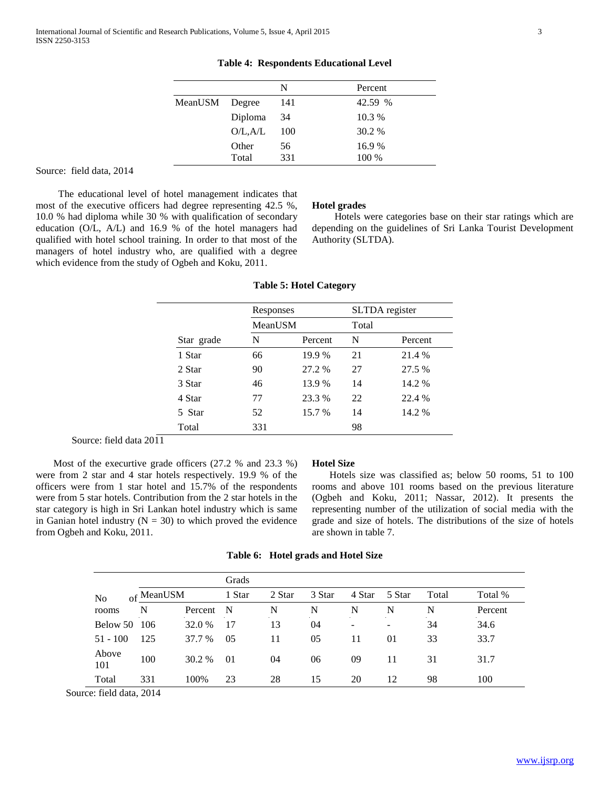|         |          | N   | Percent |
|---------|----------|-----|---------|
| MeanUSM | Degree   | 141 | 42.59 % |
|         | Diploma  | 34  | 10.3 %  |
|         | O/L, A/L | 100 | 30.2 %  |
|         | Other    | 56  | 16.9%   |
|         | Total    | 331 | 100 %   |

**Table 4: Respondents Educational Level**

## Source: field data, 2014

 The educational level of hotel management indicates that most of the executive officers had degree representing 42.5 %, 10.0 % had diploma while 30 % with qualification of secondary education (O/L, A/L) and 16.9 % of the hotel managers had qualified with hotel school training. In order to that most of the managers of hotel industry who, are qualified with a degree which evidence from the study of Ogbeh and Koku, 2011.

#### **Hotel grades**

 Hotels were categories base on their star ratings which are depending on the guidelines of Sri Lanka Tourist Development Authority (SLTDA).

|            | Responses |         | SLTDA register |         |
|------------|-----------|---------|----------------|---------|
|            | MeanUSM   |         | Total          |         |
| Star grade | N         | Percent | N              | Percent |
| 1 Star     | 66        | 19.9 %  | 21             | 21.4 %  |
| 2 Star     | 90        | 27.2 %  | 27             | 27.5 %  |
| 3 Star     | 46        | 13.9 %  | 14             | 14.2 %  |
| 4 Star     | 77        | 23.3 %  | 22             | 22.4 %  |
| 5 Star     | 52        | 15.7 %  | 14             | 14.2 %  |
| Total      | 331       |         | 98             |         |

## **Table 5: Hotel Category**

Source: field data 2011

 Most of the execurtive grade officers (27.2 % and 23.3 %) were from 2 star and 4 star hotels respectively. 19.9 % of the officers were from 1 star hotel and 15.7% of the respondents were from 5 star hotels. Contribution from the 2 star hotels in the star category is high in Sri Lankan hotel industry which is same in Ganian hotel industry  $(N = 30)$  to which proved the evidence from Ogbeh and Koku, 2011.

#### **Hotel Size**

 Hotels size was classified as; below 50 rooms, 51 to 100 rooms and above 101 rooms based on the previous literature (Ogbeh and Koku, 2011; Nassar, 2012). It presents the representing number of the utilization of social media with the grade and size of hotels. The distributions of the size of hotels are shown in table 7.

## **Table 6: Hotel grads and Hotel Size**

|              |                       |          | Grads          |        |        |        |                 |       |         |
|--------------|-----------------------|----------|----------------|--------|--------|--------|-----------------|-------|---------|
| No           | <sub>of</sub> MeanUSM |          | 1 Star         | 2 Star | 3 Star | 4 Star | 5 Star          | Total | Total % |
| rooms        | N                     | Percent  | N              | N      | N      | N      | N               | N     | Percent |
| Below 50     | - 106                 | 32.0 %   | 17             | 13     | 04     |        | $\qquad \qquad$ | 34    | 34.6    |
| $51 - 100$   | 125                   | 37.7 %   | 05             | 11     | 05     | 11     | 01              | 33    | 33.7    |
| Above<br>101 | 100                   | $30.2\%$ | 0 <sub>1</sub> | 04     | 06     | 09     | 11              | 31    | 31.7    |
| Total        | 331                   | 100\%    | 23             | 28     | 15     | 20     | 12              | 98    | 100     |

Source: field data, 2014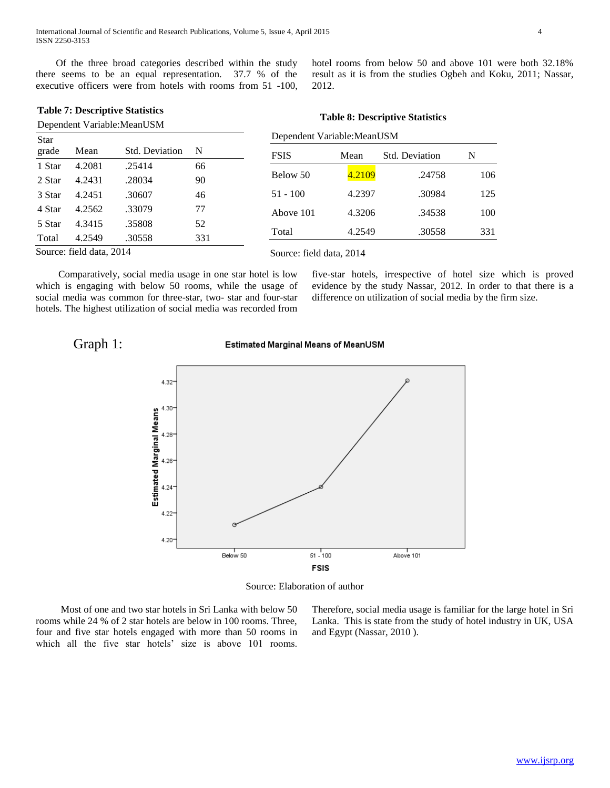Of the three broad categories described within the study there seems to be an equal representation. 37.7 % of the executive officers were from hotels with rooms from 51 -100,

**Table 7: Descriptive Statistics**

|             |        | Dependent Variable: MeanUSM |     | Table of Descriptive Statistics |        |                |     |  |  |
|-------------|--------|-----------------------------|-----|---------------------------------|--------|----------------|-----|--|--|
| <b>Star</b> |        |                             |     | Dependent Variable: MeanUSM     |        |                |     |  |  |
| grade       | Mean   | Std. Deviation              | N   | <b>FSIS</b>                     | Mean   | Std. Deviation | N   |  |  |
| 1 Star      | 4.2081 | .25414                      | 66  |                                 |        |                |     |  |  |
| 2 Star      | 4.2431 | .28034                      | 90  | Below 50                        | 4.2109 | .24758         | 106 |  |  |
| 3 Star      | 4.2451 | .30607                      | 46  | $51 - 100$                      | 4.2397 | .30984         | 125 |  |  |
| 4 Star      | 4.2562 | .33079                      | 77  | Above 101                       | 4.3206 | .34538         | 100 |  |  |
| 5 Star      | 4.3415 | .35808                      | 52  |                                 |        |                |     |  |  |
| Total       | 4.2549 | .30558                      | 331 | Total                           | 4.2549 | .30558         | 331 |  |  |

Source: field data, 2014

Source: field data, 2014

2012.

 Comparatively, social media usage in one star hotel is low which is engaging with below 50 rooms, while the usage of social media was common for three-star, two- star and four-star hotels. The highest utilization of social media was recorded from

five-star hotels, irrespective of hotel size which is proved evidence by the study Nassar, 2012. In order to that there is a difference on utilization of social media by the firm size.

hotel rooms from below 50 and above 101 were both 32.18% result as it is from the studies Ogbeh and Koku, 2011; Nassar,

**Table 8: Descriptive Statistics**

## Graph 1:

## Estimated Marginal Means of MeanUSM



Source: Elaboration of author

 Most of one and two star hotels in Sri Lanka with below 50 rooms while 24 % of 2 star hotels are below in 100 rooms. Three, four and five star hotels engaged with more than 50 rooms in which all the five star hotels' size is above 101 rooms.

Therefore, social media usage is familiar for the large hotel in Sri Lanka. This is state from the study of hotel industry in UK, USA and Egypt (Nassar, 2010 ).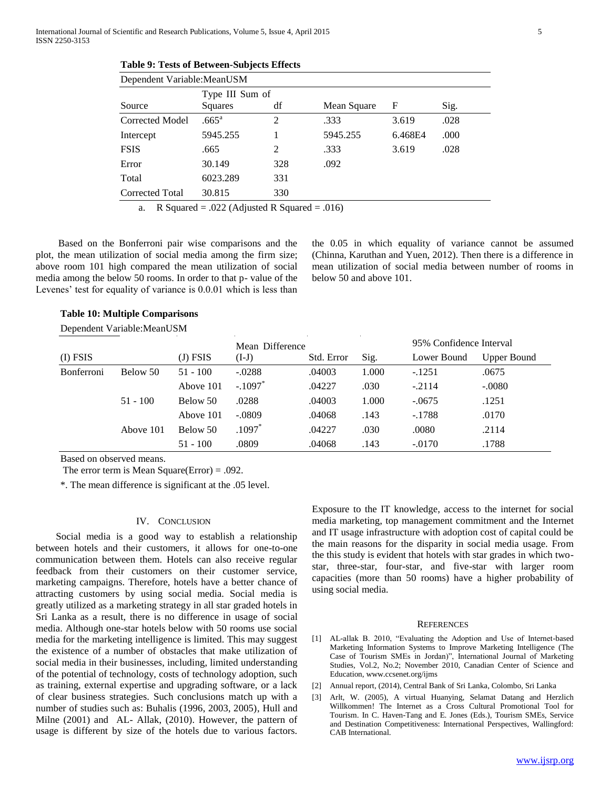**Table 9: Tests of Between-Subjects Effects**

| Dependent Variable: MeanUSM |                                                              |     |          |         |      |  |  |  |
|-----------------------------|--------------------------------------------------------------|-----|----------|---------|------|--|--|--|
| Source                      | Type III Sum of<br>df<br>F<br>Sig.<br>Squares<br>Mean Square |     |          |         |      |  |  |  |
| <b>Corrected Model</b>      | .665 <sup>a</sup>                                            | 2   | .333     | 3.619   | .028 |  |  |  |
| Intercept                   | 5945.255                                                     |     | 5945.255 | 6.468E4 | .000 |  |  |  |
| <b>FSIS</b>                 | .665                                                         | 2   | .333     | 3.619   | .028 |  |  |  |
| Error                       | 30.149                                                       | 328 | .092     |         |      |  |  |  |
| Total                       | 6023.289                                                     | 331 |          |         |      |  |  |  |
| Corrected Total             | 30.815                                                       | 330 |          |         |      |  |  |  |

a. R Squared = .022 (Adjusted R Squared = .016)

 Based on the Bonferroni pair wise comparisons and the plot, the mean utilization of social media among the firm size; above room 101 high compared the mean utilization of social media among the below 50 rooms. In order to that p- value of the Levenes' test for equality of variance is 0.0.01 which is less than the 0.05 in which equality of variance cannot be assumed (Chinna, Karuthan and Yuen, 2012). Then there is a difference in mean utilization of social media between number of rooms in below 50 and above 101.

## **Table 10: Multiple Comparisons**

Dependent Variable:MeanUSM

|                   |            |            | Mean Difference       |            |       | 95% Confidence Interval |                    |
|-------------------|------------|------------|-----------------------|------------|-------|-------------------------|--------------------|
| $(I)$ FSIS        |            | (J) FSIS   | $(I-J)$               | Std. Error | Sig.  | Lower Bound             | <b>Upper Bound</b> |
| <b>Bonferroni</b> | Below 50   | $51 - 100$ | $-.0288$              | .04003     | 1.000 | $-.1251$                | .0675              |
|                   |            | Above 101  | $-.1097$ <sup>*</sup> | .04227     | .030  | $-.2114$                | $-.0080$           |
|                   | $51 - 100$ | Below 50   | .0288                 | .04003     | 1.000 | $-.0675$                | .1251              |
|                   |            | Above 101  | $-.0809$              | .04068     | .143  | $-.1788$                | .0170              |
|                   | Above 101  | Below 50   | $.1097*$              | .04227     | .030  | .0080                   | .2114              |
|                   |            | $51 - 100$ | .0809                 | .04068     | .143  | $-.0170$                | .1788              |

Based on observed means.

The error term is Mean Square(Error) = .092.

\*. The mean difference is significant at the .05 level.

#### IV. CONCLUSION

 Social media is a good way to establish a relationship between hotels and their customers, it allows for one-to-one communication between them. Hotels can also receive regular feedback from their customers on their customer service, marketing campaigns. Therefore, hotels have a better chance of attracting customers by using social media. Social media is greatly utilized as a marketing strategy in all star graded hotels in Sri Lanka as a result, there is no difference in usage of social media. Although one-star hotels below with 50 rooms use social media for the marketing intelligence is limited. This may suggest the existence of a number of obstacles that make utilization of social media in their businesses, including, limited understanding of the potential of technology, costs of technology adoption, such as training, external expertise and upgrading software, or a lack of clear business strategies. Such conclusions match up with a number of studies such as: Buhalis (1996, 2003, 2005), Hull and Milne (2001) and AL- Allak, (2010). However, the pattern of usage is different by size of the hotels due to various factors.

Exposure to the IT knowledge, access to the internet for social media marketing, top management commitment and the Internet and IT usage infrastructure with adoption cost of capital could be the main reasons for the disparity in social media usage. From the this study is evident that hotels with star grades in which twostar, three-star, four-star, and five-star with larger room capacities (more than 50 rooms) have a higher probability of using social media.

#### **REFERENCES**

- [1] AL-allak B. 2010, "Evaluating the Adoption and Use of Internet-based Marketing Information Systems to Improve Marketing Intelligence (The Case of Tourism SMEs in Jordan)", International Journal of Marketing Studies, Vol.2, No.2; November 2010, Canadian Center of Science and Education, www.ccsenet.org/ijms
- [2] Annual report, (2014), Central Bank of Sri Lanka, Colombo, Sri Lanka
- [3] Arlt, W. (2005), A virtual Huanying, Selamat Datang and Herzlich Willkommen! The Internet as a Cross Cultural Promotional Tool for Tourism. In C. Haven-Tang and E. Jones (Eds.), Tourism SMEs, Service and Destination Competitiveness: International Perspectives, Wallingford: CAB International.